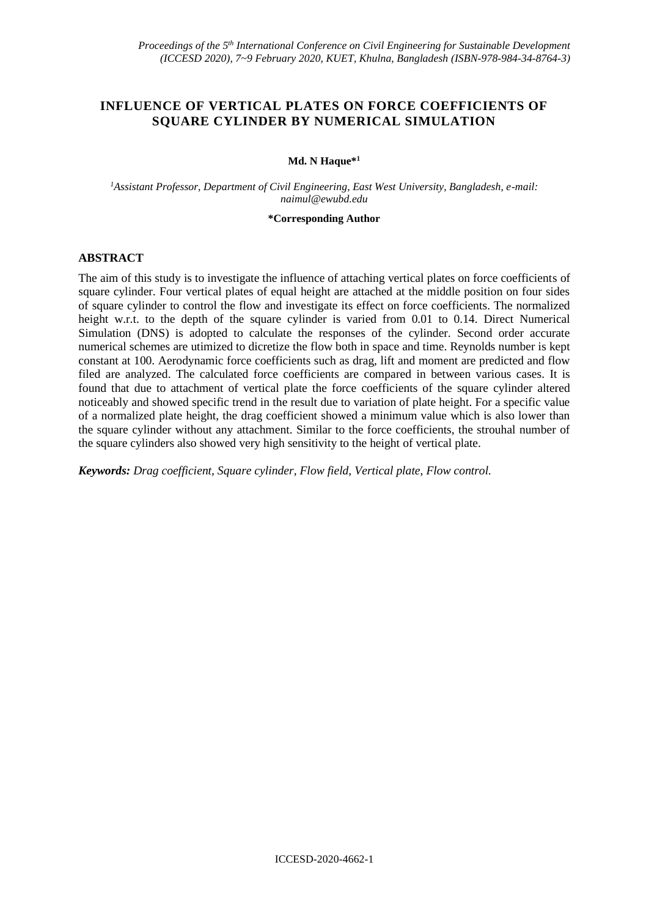# **INFLUENCE OF VERTICAL PLATES ON FORCE COEFFICIENTS OF SQUARE CYLINDER BY NUMERICAL SIMULATION**

## **Md. N Haque\*<sup>1</sup>**

*<sup>1</sup>Assistant Professor, Department of Civil Engineering, East West University, Bangladesh, e-mail: naimul@ewubd.edu*

#### **\*Corresponding Author**

# **ABSTRACT**

The aim of this study is to investigate the influence of attaching vertical plates on force coefficients of square cylinder. Four vertical plates of equal height are attached at the middle position on four sides of square cylinder to control the flow and investigate its effect on force coefficients. The normalized height w.r.t. to the depth of the square cylinder is varied from 0.01 to 0.14. Direct Numerical Simulation (DNS) is adopted to calculate the responses of the cylinder. Second order accurate numerical schemes are utimized to dicretize the flow both in space and time. Reynolds number is kept constant at 100. Aerodynamic force coefficients such as drag, lift and moment are predicted and flow filed are analyzed. The calculated force coefficients are compared in between various cases. It is found that due to attachment of vertical plate the force coefficients of the square cylinder altered noticeably and showed specific trend in the result due to variation of plate height. For a specific value of a normalized plate height, the drag coefficient showed a minimum value which is also lower than the square cylinder without any attachment. Similar to the force coefficients, the strouhal number of the square cylinders also showed very high sensitivity to the height of vertical plate.

*Keywords: Drag coefficient, Square cylinder, Flow field, Vertical plate, Flow control.*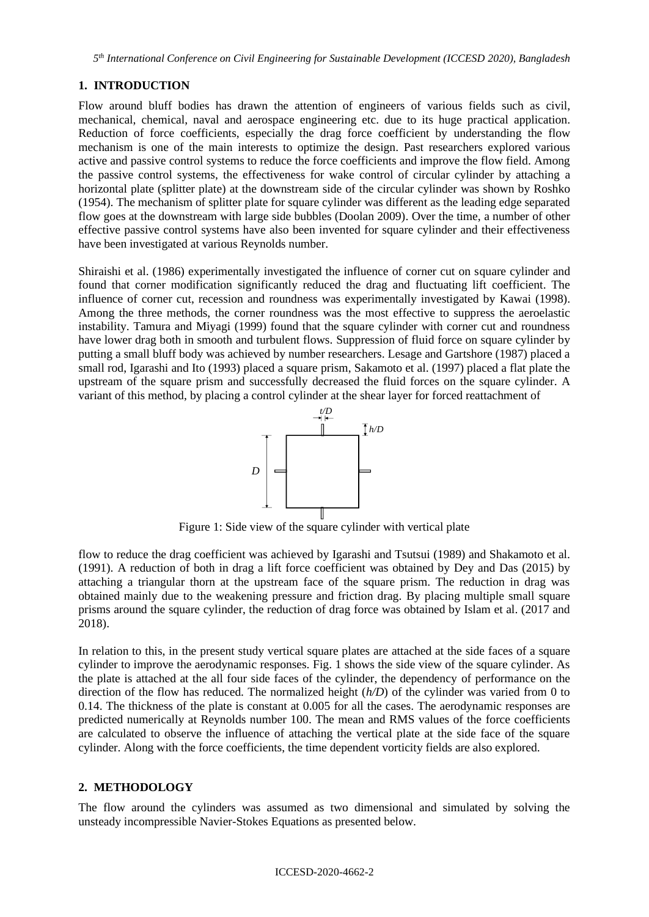# **1. INTRODUCTION**

Flow around bluff bodies has drawn the attention of engineers of various fields such as civil, mechanical, chemical, naval and aerospace engineering etc. due to its huge practical application. Reduction of force coefficients, especially the drag force coefficient by understanding the flow mechanism is one of the main interests to optimize the design. Past researchers explored various active and passive control systems to reduce the force coefficients and improve the flow field. Among the passive control systems, the effectiveness for wake control of circular cylinder by attaching a horizontal plate (splitter plate) at the downstream side of the circular cylinder was shown by Roshko (1954). The mechanism of splitter plate for square cylinder was different as the leading edge separated flow goes at the downstream with large side bubbles (Doolan 2009). Over the time, a number of other effective passive control systems have also been invented for square cylinder and their effectiveness have been investigated at various Reynolds number.

Shiraishi et al. (1986) experimentally investigated the influence of corner cut on square cylinder and found that corner modification significantly reduced the drag and fluctuating lift coefficient. The influence of corner cut, recession and roundness was experimentally investigated by Kawai (1998). Among the three methods, the corner roundness was the most effective to suppress the aeroelastic instability. Tamura and Miyagi (1999) found that the square cylinder with corner cut and roundness have lower drag both in smooth and turbulent flows. Suppression of fluid force on square cylinder by putting a small bluff body was achieved by number researchers. Lesage and Gartshore (1987) placed a small rod, Igarashi and Ito (1993) placed a square prism, Sakamoto et al. (1997) placed a flat plate the upstream of the square prism and successfully decreased the fluid forces on the square cylinder. A variant of this method, by placing a control cylinder at the shear layer for forced reattachment of



Figure 1: Side view of the square cylinder with vertical plate

flow to reduce the drag coefficient was achieved by Igarashi and Tsutsui (1989) and Shakamoto et al. (1991). A reduction of both in drag a lift force coefficient was obtained by Dey and Das (2015) by attaching a triangular thorn at the upstream face of the square prism. The reduction in drag was obtained mainly due to the weakening pressure and friction drag. By placing multiple small square prisms around the square cylinder, the reduction of drag force was obtained by Islam et al. (2017 and 2018).

In relation to this, in the present study vertical square plates are attached at the side faces of a square cylinder to improve the aerodynamic responses. Fig. 1 shows the side view of the square cylinder. As the plate is attached at the all four side faces of the cylinder, the dependency of performance on the direction of the flow has reduced. The normalized height (*h/D*) of the cylinder was varied from 0 to 0.14. The thickness of the plate is constant at 0.005 for all the cases. The aerodynamic responses are predicted numerically at Reynolds number 100. The mean and RMS values of the force coefficients are calculated to observe the influence of attaching the vertical plate at the side face of the square cylinder. Along with the force coefficients, the time dependent vorticity fields are also explored.

## **2. METHODOLOGY**

The flow around the cylinders was assumed as two dimensional and simulated by solving the unsteady incompressible Navier-Stokes Equations as presented below.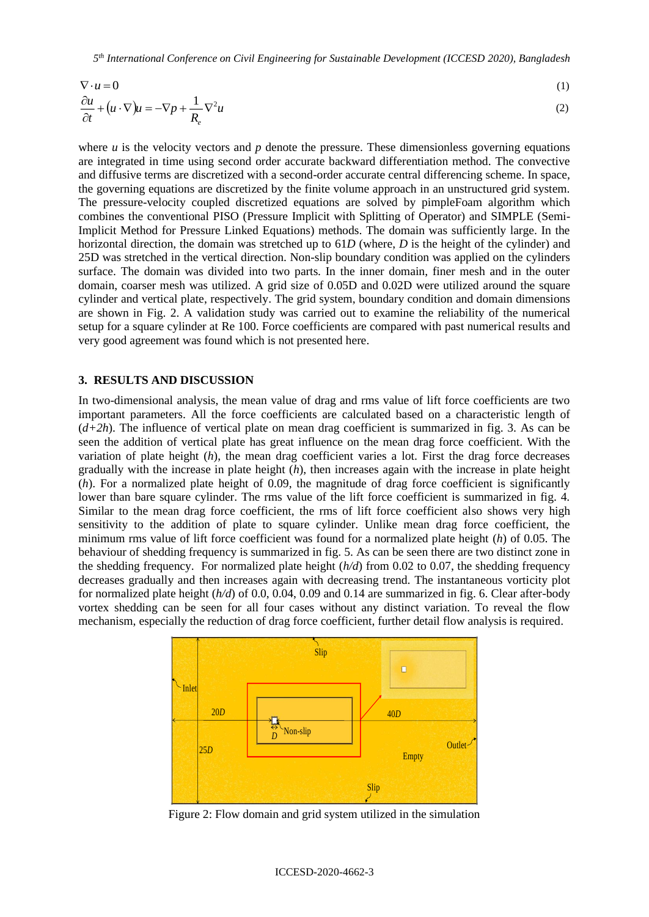*5 th International Conference on Civil Engineering for Sustainable Development (ICCESD 2020), Bangladesh*

$$
\nabla \cdot u = 0
$$
\n
$$
\frac{\partial u}{\partial t} + (u \cdot \nabla)u = -\nabla p + \frac{1}{R_e} \nabla^2 u
$$
\n(1)\n(2)

where  $u$  is the velocity vectors and  $p$  denote the pressure. These dimensionless governing equations are integrated in time using second order accurate backward differentiation method. The convective and diffusive terms are discretized with a second-order accurate central differencing scheme. In space, the governing equations are discretized by the finite volume approach in an unstructured grid system. The pressure-velocity coupled discretized equations are solved by pimpleFoam algorithm which combines the conventional PISO (Pressure Implicit with Splitting of Operator) and SIMPLE (Semi-Implicit Method for Pressure Linked Equations) methods. The domain was sufficiently large. In the horizontal direction, the domain was stretched up to 61*D* (where, *D* is the height of the cylinder) and 25D was stretched in the vertical direction. Non-slip boundary condition was applied on the cylinders surface. The domain was divided into two parts. In the inner domain, finer mesh and in the outer domain, coarser mesh was utilized. A grid size of 0.05D and 0.02D were utilized around the square cylinder and vertical plate, respectively. The grid system, boundary condition and domain dimensions are shown in Fig. 2. A validation study was carried out to examine the reliability of the numerical setup for a square cylinder at Re 100. Force coefficients are compared with past numerical results and very good agreement was found which is not presented here.

### **3. RESULTS AND DISCUSSION**

In two-dimensional analysis, the mean value of drag and rms value of lift force coefficients are two important parameters. All the force coefficients are calculated based on a characteristic length of (*d+2h*). The influence of vertical plate on mean drag coefficient is summarized in fig. 3. As can be seen the addition of vertical plate has great influence on the mean drag force coefficient. With the variation of plate height (*h*), the mean drag coefficient varies a lot. First the drag force decreases gradually with the increase in plate height (*h*), then increases again with the increase in plate height (*h*). For a normalized plate height of 0.09, the magnitude of drag force coefficient is significantly lower than bare square cylinder. The rms value of the lift force coefficient is summarized in fig. 4. Similar to the mean drag force coefficient, the rms of lift force coefficient also shows very high sensitivity to the addition of plate to square cylinder. Unlike mean drag force coefficient, the minimum rms value of lift force coefficient was found for a normalized plate height (*h*) of 0.05. The behaviour of shedding frequency is summarized in fig. 5. As can be seen there are two distinct zone in the shedding frequency. For normalized plate height (*h/d*) from 0.02 to 0.07, the shedding frequency decreases gradually and then increases again with decreasing trend. The instantaneous vorticity plot for normalized plate height (*h/d*) of 0.0, 0.04, 0.09 and 0.14 are summarized in fig. 6. Clear after-body vortex shedding can be seen for all four cases without any distinct variation. To reveal the flow mechanism, especially the reduction of drag force coefficient, further detail flow analysis is required.



Figure 2: Flow domain and grid system utilized in the simulation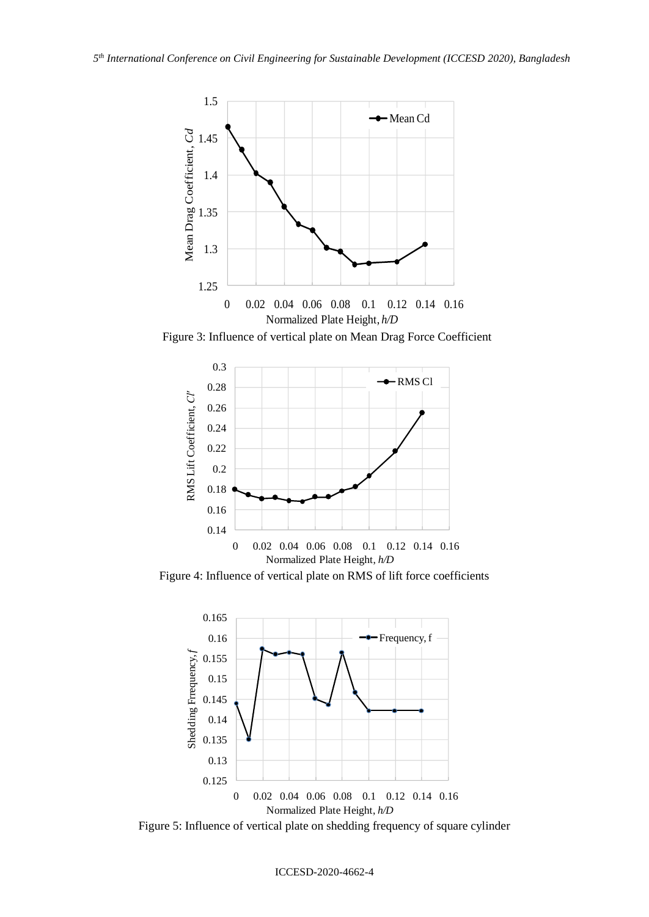

Figure 3: Influence of vertical plate on Mean Drag Force Coefficient



Figure 4: Influence of vertical plate on RMS of lift force coefficients



Figure 5: Influence of vertical plate on shedding frequency of square cylinder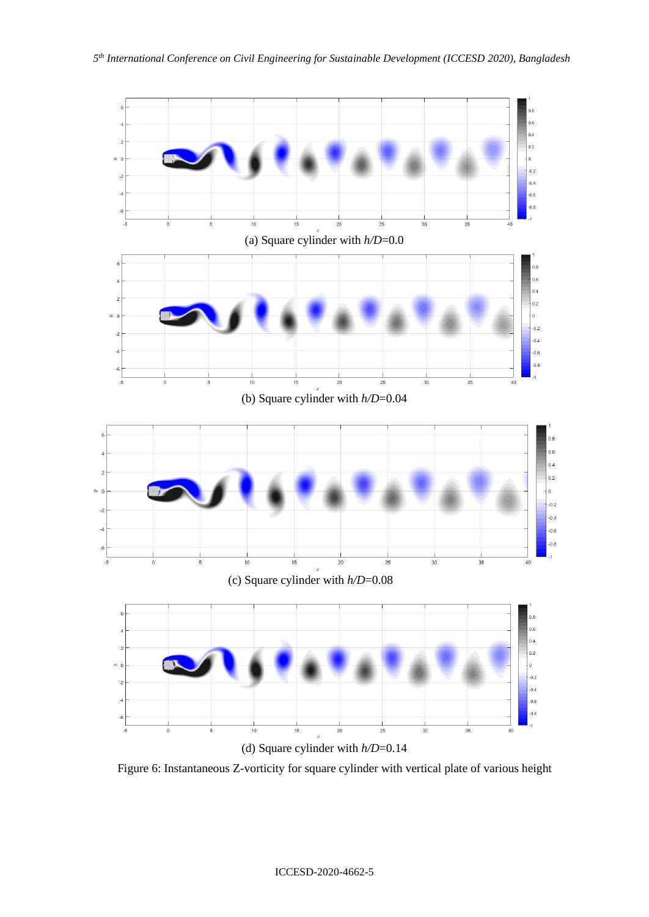

Figure 6: Instantaneous Z-vorticity for square cylinder with vertical plate of various height